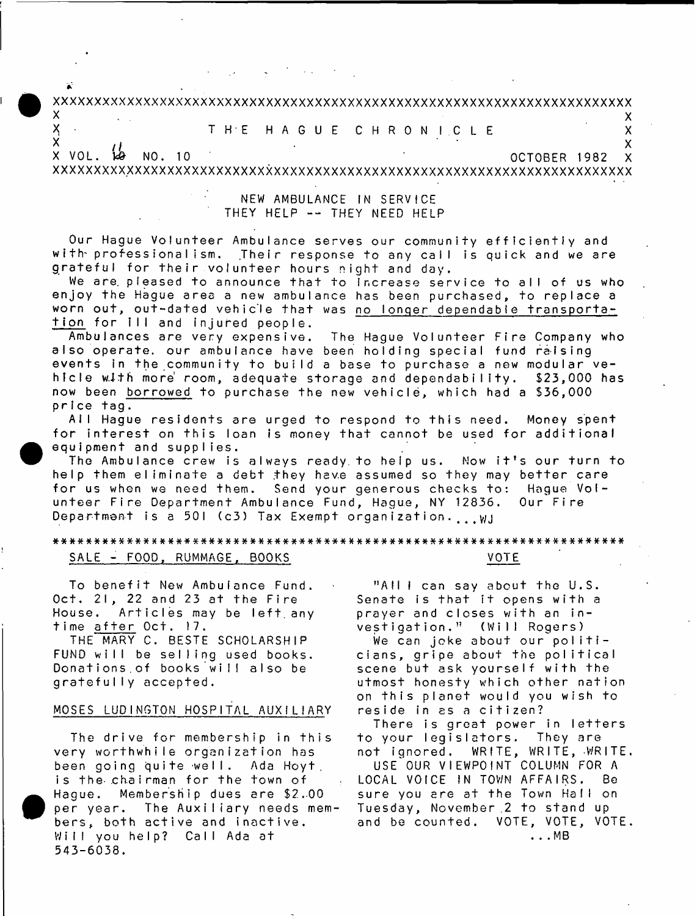# **xxxxxxxxxxxxxxxxxxxxxxxxxxxxxxxxxxxxxxxxxxxxxxxxxxxxxxxxxxxxxxxxxxxxxxx**

 $\mathsf{x}$  x  $\mathsf{y}$  x  $\mathsf{y}$  x  $\mathsf{y}$  x  $\mathsf{y}$  x  $\mathsf{y}$  x  $\mathsf{y}$  x  $\mathsf{y}$  x  $\mathsf{y}$  x  $\mathsf{y}$ X T H E H A G U E C H R O N I C L E X X X X

\* *t f* X X VOL. 129 NO. 10 CONTROLLER 1982 X XXXXXXXXXXXXXXXXXXXXXXXXXXXXXXXXXXXXXXXXXXXXXXXXXXXXXXXXXXXXXXXXXXXXXXX

# NEW AMBULANCE IN SERVICE THEY HELP -- THEY NEED HELP

Our Hague Volunteer Ambulance serves our community efficiently and with professionalism. Their response to any call is quick and we are grateful for their volunteer hours night and day.

We are pleased to announce that to Increase service to all of us who enjoy the Hague area a new ambulance has been purchased, to replace a worn out, out-dated vehicle that was <u>no longer dependable transporta</u> tion for ill and injured people.

Ambulances are very expensive, also operate, our ambulance have been holding special fund raising events in the community to build a base to purchase a new modular ve-The Hague Volunteer Fire Company who \$23,000 has now been <u>borrowed</u> to purchase the new vehicle, which had a \$36,000 hicle with more room, adequate storage and dependability, price tag.

All Hague residents are urged to respond to this need. Money spent for interest on this loan is money that cannot be used for additional equipment and supplies.

The Ambulance crew is always ready to help us. Now it's our turn to help them eliminate a debt they have assumed so they may better care for us when we need them. Send your generous checks to: Hague Volunteer Fire Department Ambulance Fund, Hague, NY 12836. Our Fire Department is a 501 (c3) Tax Exempt organization. , . w.

# \* \* \* \* \* \* \* \* \* \* \* \* \* \* \* \* \* \* \* \* \* \* \* \* \* \* \* \* \* \* \* \* \* \* \* \* \* \* \* \* \* \* \* \* \* \* \* \* \* \* \* \* \* \* \* \* \* \* \* \* \* \* \* \* \* \* \* \* \* \* SALE - FOOD, RUMMAGE, BOOKS NOTE

To benefit New Ambulance Fund. Oct. 21, 22 and 23 at the Fire House. Articles may be left any time after Oct. 17.

THE MARY C. BESTE SCHOLARSHIP FUND will be selling used books. Donations of books will also be gratefully accepted.

#### MOSES LUDINGTON HOSPITAL AUXILIARY

The drive for membership in this very worthwhile organization has been going quite well. Ada Hoyt, is the chairman for the town of Haque. Membership dues are \$2.00 per year. The Auxiliary needs mem bers, both active and inactive. Will you help? Call Ada at 543-6038.

"All  $l$  can say about the U.S. Senate is that it opens with a prayer and closes with an investigation." (Will Rogers)

We can joke about our politicians, gripe about the political scene but ask yourself with the utmost honesty which other nation on this planet would you wish to reside in as a citizen?

There is great power in letters to your legislators. They are not ignored. WRITE, WRITE, WRITE.

USE OUR VIEWPOINT COLUMN FOR A LOCAL VOICE IN TOWN AFFAIRS. Be sure you are at the Town Hall on Tuesday, November 2 to stand up and be counted. VOTE, VOTE, VOTE . . . M B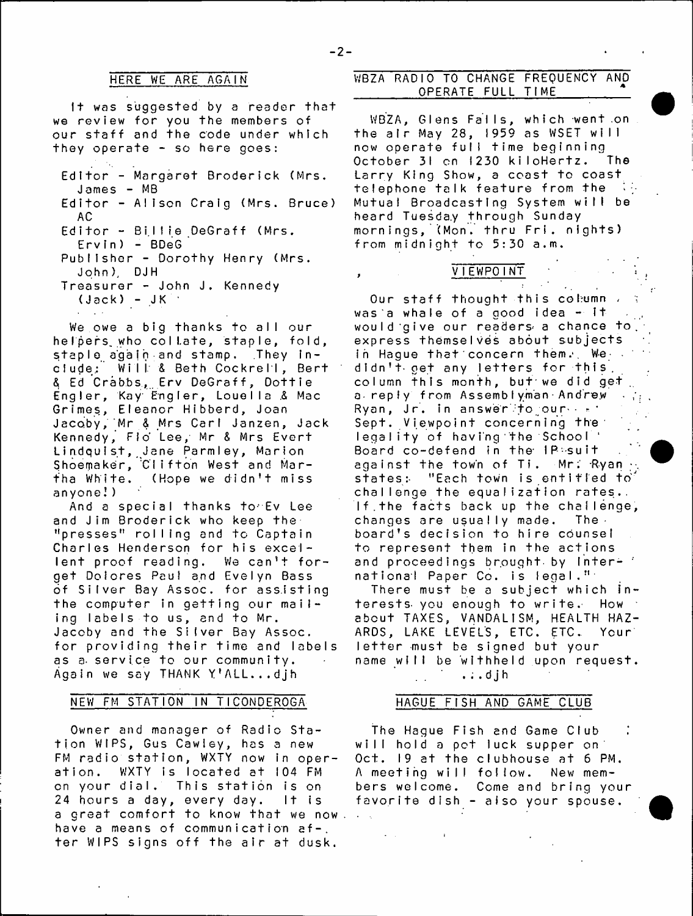#### HERE WE ARE AGAIN

It was suggested by a reader that we review for you the members of our staff and the code under which they operate - so here goes:

- Editor Margaret Broderick (Mrs. James - MB
- Editor Alison Craig (Mrs. Bruce) A C
- Editor Billie DeGraff (Mrs.
- $Ervin) BDeG$ Publisher - Dorothy Henry (Mrs. John), DJH
- Treasurer John J. Kennedy  $(\texttt{Jack}) - \texttt{JK}$

We owe a big thanks to all our helpers, who collate, staple, fold, staple again and stamp. They include; Will & Beth Cockrell, Bert  $8$  Ed Crabbs, Erv DeGraff, Dottie Engler, Kay Engler, Louella *&* Mac Grimes, Eleanor Hibberd, Joan Jacoby, Mr & Mrs Carl Janzen, Jack Kennedy, Fio Lee, Mr & Mrs Evert Lindquist, Jane Parmley, Marion Shoemaker, Clifton West and Martha White. (Hope we didn't miss anyone!)

And a special thanks torEv Lee and Jim Broderick who keep the "presses" rolling and to Captain Charles Henderson for his excellent proof reading. We can't forget Dolores Paul and Evelyn Bass of Silver Bay Assoc, for assisting the computer in getting our mailing labels to us, and to Mr. Jacoby and the Silver Bay Assoc, for providing their time and labels as a service to our community. Again we say THANK Y'ALL..,djh

#### NEW FM STATION IN TICONDEROGA

Owner and manager of Radio Station WIPS, Gus Cawley, has a new FM radio station, WXTY now in operation. WXTY is located at 104 FM on your dial. This station is on 24 hours a day, every day. It is a great comfort to know that we now. have a means of communication af-. ter WIPS signs off the air at dusk.

# WBZA RADIO TO CHANGE FREQUENCY AND OPERATE FULL TIME

WBZA, Glens Falls, which went on the air May 28, 1959 as WSET will now operate full time beginning October 31 on 1230 kiloHertz. The Larry King Show, a ceast to coast telephone talk feature from the Mutual Broadcasting System will be heard Tuesda.y through Sunday mornings, (Mon. thru Frt. nights) from midnight to 5:30 a.m.



 $\epsilon$  .

Our staff thought this column , was a whale of a good idea  $-1$ <sup>+</sup> would give our readers  $a$  chance to, express themselves about subjects in Hague that concern them. We .. didn't- get any letters for this, column this month, but'we did get. a reply from Assemblyman Andrew Ryan, Jr. in answer to our  $\cdots$ Sept. Viewpoint concerning the legality of having the School ' Board co-defend in the IP-suit against the town of Ti. Mr:  $Ryan +$ states: "Each town is entitled to challenge the equalization rates.. If the facts back up the challenge, changes are usually made. The board's decision to hire counsel to represent them in the actions and proceedings brought by Inter-  $\dot{\phantom{a}}$ national Paper Co. is legal."

There must be a subject which interests- you enough to write. How about TAXES, VANDALISM, HEALTH HAZ-ARDS, LAKE LEVEL'S, ETC. ETC. Your letter must be signed but your name will be withheld upon request.

# $\ldots$  djh

#### HAGUE FISH AND GAME CLUB

The Hague Fish and Game Club will hold a pet luck supper on: Oct. 19 at the clubhouse at 6 PM. A meeting will follow. New members welcome. Come and bring your favorite dish - also your spouse.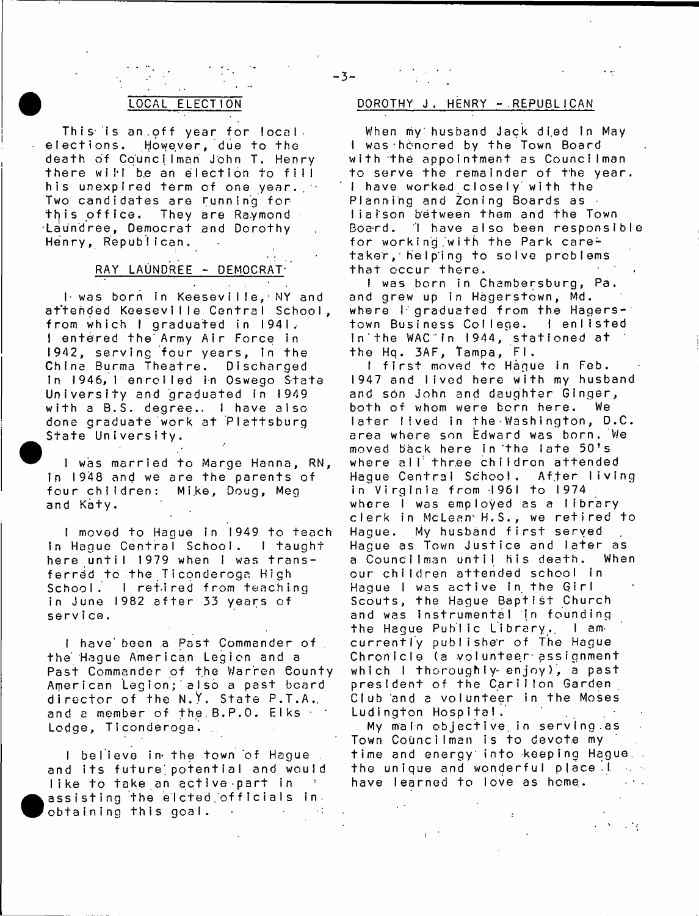This is an.off year for localelections. However, due to the death of Councilman John T. Henry there will be an election to fill his unexpired term of one year. Two candidates are running for this office. They are Raymond •Laundree, Democrat and Dorothy Henry, Republican.

# RAY LAUNDREE - DEMOCRAT-

**Contract Contract Contract** 

I was born in Keeseville, NY and attended Keeseville Central School, from which I graduated in 1941. I entered the Army Air Force in 1942, serving four years, in the China Burma Theatre. Discharged In 1946, l'enrolled in Oswego State University and graduated in 1949 with a B.S. degree.. I have also done graduate work at Plattsburg State University.

**1** was married to Marge Hanna, RN, in 1948 and we are the parents of four children: Mike, Doug, Meg and Katy.

I moved to Hague in 1949 to teach In Hague Central School. I taught here until 1979 when I was transferred to the Ticonderoga High School. I retired from teaching in June 1982 after 33 years of service.

I have been a Past Commander of the Hague American Legion and a Past Commander of the Warren County American Legion; also a past board director of the **N.Y.** State P.T.A., and a member of the B.P.O. Elks Lodge, Ticonderoga.

I believe in the town of Hague . and its future potential and would like to take an active part in assisting the elcted officials in. obtaining this goal. ■

**•** 

#### ELECTION DOROTHY J. HENRY - REPUBLICAN

When my husband Jack died In May I was henored by the Town Board with the appointment as Councilman to serve the remainder of the year. I have worked closely with the Planning and Zoning Boards as  $\cdot$ liaison between them and the Town Board. 'I have also been responsible for working with the Park caretaker, helping to solve problems that occur there.

I was born in Chambersburg, Pa. and grew up in Hagerstown, Md. where  $\Gamma$  graduated from the Hagers-1 town Business College. I enlisted in the WAC in 1944, stationed at the Hq. 3AF, Tampa, Fl.

I first moved to Hague in Feb. 1947 and lived here with my husband and son John and daughter Ginger, both of whom were born here. We later lived in the Washington, D.C. area where son Edward was born. We moved back here in the late 50's where all three childron attended Hague Central School. After living in Virginia from 1961 to 1974 where I was employed as a library clerk in McLean H.S., we retired to Hague. My husband first served Hague as Town Justice and later as a Councilman until his death. When our children attended school in Hague I was active in the Girl Scouts, the Hague Baptist Church and was instrumental in founding the Hague Public Library, I amcurrently publisher of The Hague Chronicle (a volunteer assignment which I thoroughly enjoy), a past president of the Carillon Garden Club and a volunteer in the Moses Ludington Hospital. My main objective in serving as

Town Councilman is to devote my time and energy into keeping Hague, the unique and wonderful place.I. have learned to love as home.

 $-3-$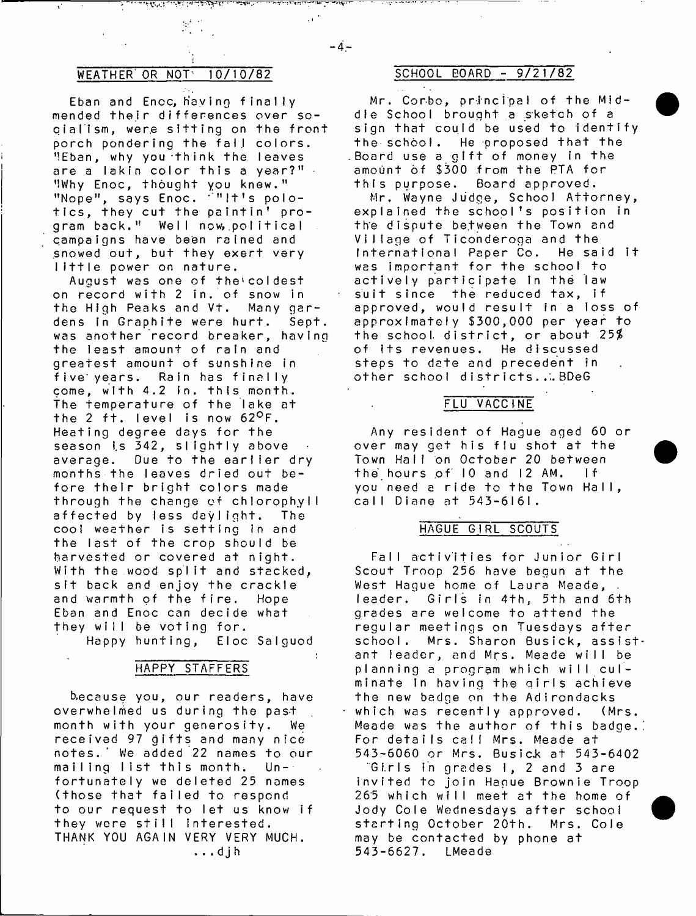$\mathcal{A}^{\text{out}}$ 

# WEATHER OR NOT  $10/10/82$  SCHOOL BOARD - 9/21/82

Eban and Enoc, having finally mended their differences over socialism, were sitting on the front porch pondering the fall colors. MEban, why you think the leaves are a lakin color this a year?" $\cdot$ ''Why Enoc, thought you knew." "Nope", says Enoc.  $\mathbb{C}^{n+1}$  it's polotics, they cut the paintin' program back." Well now, political campaigns have been rained and snowed out, but they exert very little power on nature,

August was one of the'coldest on record with 2 in. of snow in the High Peaks and Vt. Many gardens in Graphite were hurt. Sept. was another record breaker, having the least amount of rain and greatest amount of sunshine in five\* years. Rain has finally come, with 4.2 in. this month. The temperature of the lake at the 2 ft. level is now  $62^{\circ}$ F. Heating degree days for the season is 342, slightly above average. Due to the earlier dry months the leaves dried out before their bright colors made through the change of chlorophyll affected by less daylight. The cool weather is setting in and the last of the crop should be harvested or covered at night. With the wood split and stacked, sit back and enjoy the crackle and warmth of the fire. Hope Eban and Enoc can decide what they will be voting for.

Happy hunting, Eloc Salguod

# HAPPY STAFFERS

b.ecause you, our readers, have overwhelmed us during the past month with your generosity. We received 97 gifts and many nice notes.' We added 22 names to our mailing list this month. Unfortunately we deleted 25 names (those that failed to respond to our request to let us know if they were still interested. THANK YOU AGAIN VERY VERY MUCH. ...djh

Mr. Corbo, principal of the Middle School brought a sketch of a sign that could be used to identify the school. He proposed that the Board use a gift of money in the amount of \$300 from the PTA for this purpose. Board approved.

Mr. Wayne Judge, School Attorney, explained the school's position in the dispute between the Town and Village of Ticonderoga and the International Paper Co. He said it was important for the school to actively participate In the law suit since the reduced tax, if approved, would result in a loss of approximately \$300,000 per year to the school district, or about  $25\%$ of its revenues. He discussed steps to date and precedent in other school districts...BDeG

# FLU VACCINE

Any resident of Hague aged 60 or over may get his flu shot at the Town Half on October 20 between the hours of 10 and 12 AM. If you need a ride to the Town Hall, call Diane at 543-6I6I.

# HAGUE GIRL SCOUTS

Fall activities for Junior Girl Scout Troop 256 have begun at the West Hague home of Laura Meade, leader. Girls in 4th, 5th and 6th grades are welcome to attend the regular meetings on Tuesdays after school. Mrs. Sharon Busick, assistant leader, and Mrs. Meade will be planning a program which will culminate In having the qirls achieve the new badge on the Adirondacks which was recently approved. (Mrs. Meade was the author of this badge.! For details call Mrs. Meade at 543-6060 or Mrs. Busick at 543-6402 Girls in grades 1, 2 and 3 are invited to join Hague Brownie Troop 265 which will meet at the home of Jody Cole Wednesdays after school starting October 20th. Mrs. Coie may be contacted by phone at 543-6627. LMeade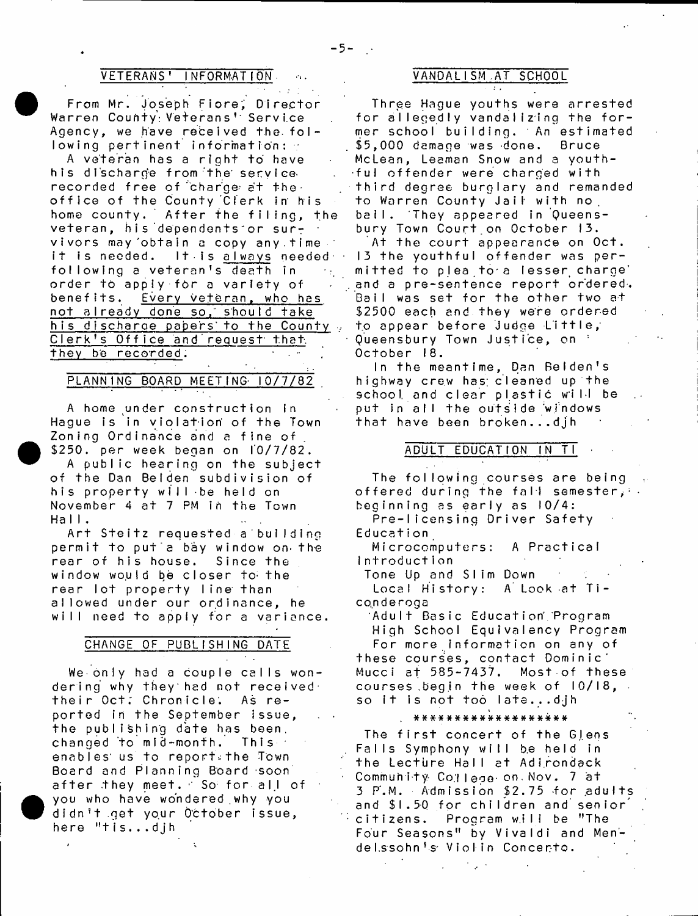#### VETERANS' INFORMATION ALL CONDALISM AT SCHOOL

From Mr. Joseph Fiore; Director Warren County: Veterans' Service Agency, we have received the  $f \circ f$ lowing pertinent information: •

A veteran has a right to have his discharge from the servicerecorded free of charge at the. office of the County Clerk in his home county. After the filing, the veteran, his dependents or survivors may obtain a copy any time it is needed. It is always needed . following a veteran's death in order to apply for a variety of benefits. Every veteran, who has not a l ready done so, should take his discharge papers to the County. Clerk's Office and request that they be recorded.

# PLANNING BOARD MEETING 10/7/82

A home under construction in Hague is in violation of the Town Zoning Ordinance and a fine of \$250. per week began on 10/7/82.

A public hearing on the subject of the Dan Belden subdivision of his property will be held on November 4 at 7 PM in the Town  $H$ all.

Art Steitz requested a building permit to put a bay window on the rear of his house. Since the window would be closer to the rear lot property line than allowed under our ordinance, he will need to apply for a variance.

#### CHANGE OF PUBLISHING DATE

We only had a couple calls wondering why they had not received their Oct; Chronicle; As reported in the September issue, the publishing date has been, changed to mid-month. This enables us to report. the Town Board and Planning Board soon after they meet. So for all of you who have wondered why you didn't get your October issue, here "tis...djh

Three Hague youths were arrested for allegedly vandalizing the former school building. An estimated \$5,000 damage was done. Bruce McLean, Leaman Snow and a youthful offender were charged with third degree burglary and remanded to Warren County Jail with no bail. They appeared in Queensbury Town Court on October 13.

At the court appearance on Oct. 13 the youthful offender was permitted to plea to a lesser charge' and a pre-sentence report ordered. Bail was set for the other two at \$2500 each and they were ordered to appear before Judge Little, Queensbury Town Justice, on : October 18.

In the meantime, Dan Belden's highway crew has; cleaned up the school and clear plastic will be put in all the outside windows that have been broken...djh

#### ADULT EDUCATION IN TI

The following courses are being offered during the fall semester,  $\cdots$ beginning as early as 10/4:

Pre-Iicensing Driver Safety Education

Microcomputers: A Practical Introduction

Tone Up and SIim Down Local History: A Look at Ticonderoga

Adult Basic Education Program High School Equivalency Program

For more information on any of these courses, contact Dominic' Mucci at 585-7437. Most of these courses begin the week of  $10/18$ , so it is not too late...djh

# # # # \* # # # \* # # # # # \* \* \* # #

The first concert of the Glens Falls Symphony will be held in the Lecture Hall at Adirondack Community College on Nov. 7 at  $3$  P.M. Admission  $$2.75$  for adults and \$1.50 for children and senior citizens. Program will be "The Four Seasons" by Vivaldi and Mendelssohn's Violin Concerto.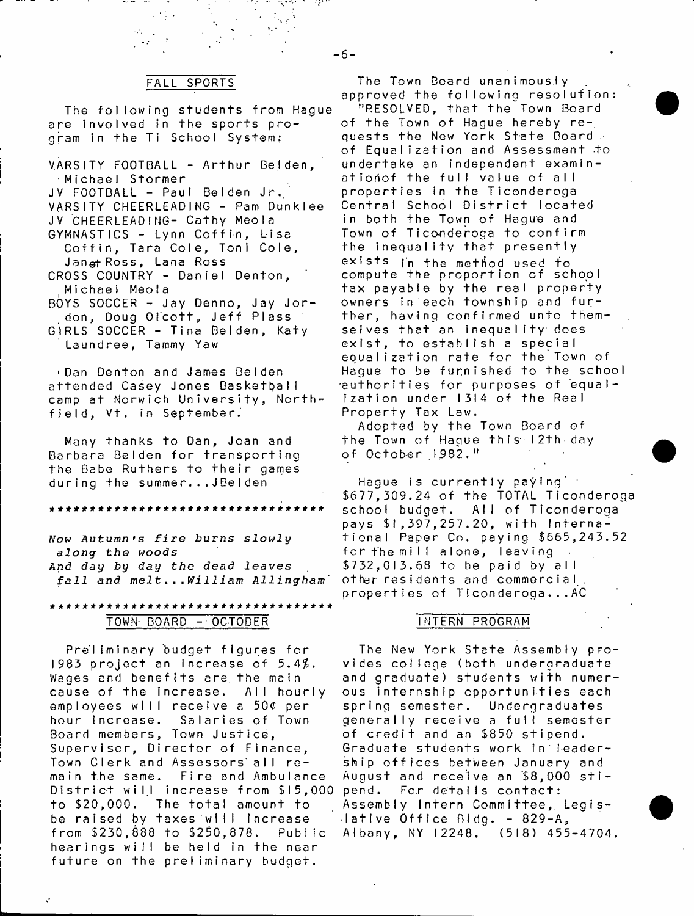#### FALL SPORTS

The following students from Hague are involved in the sports program in the Ti School System:

VARSITY FOOTBALL - Arthur Belden,  $\cdot$  Michael Stormer JV FOOTBALL - Paul Belden Jr. VARSITY CHEERLEADING - Pam Dunklee JV CHEERLEADING- Cathy Meola GYMNASTICS - Lynn Coffin, Lisa Coffin, Tara Cole, Toni Cole, Jangt Ross, Lana Ross CROSS COUNTRY - Daniel Denton, Michael Meola  $BOYS$  SOCCER - Jay Denno, Jay Jordon, Doug Olcott, Jeff Plass GIRLS SOCCER - Tina Belden, Katy Laundree, Tammy Yaw

'Dan Denton and James Belden attended Casey Jones Basketball camp at Norwich University, Northfield, Vt. in September.

Many thanks to Dan, Joan and Barbara Belden for transporting the Babe Ruthers to their games during the summer...JBelden

a \* \* \* \* \* \* \* \* \* \* \* \* \* \* \* \* \* \* \* \* \* \* \* \* \* \* \* \* \* \* \* \* \*

*Now* **Autumn** *\*s f i r e b u r n s s l o w l y along the woods And day by day the dead leaves fall and m e l t* **.** *..William Allingham'*

### \*\*\*\*\*\*\*\*\*\*\*\*\*\*\*\*\*\*\*\*\*\*\*\*\*\*\*\*\*\*\* TOWN- BOARD - OCTOBER

Preliminary budget figures for 1983 project an increase of 5.4\$. Wages and benefits are the main cause of the increase. All hourly employees will receive a 50¢ per hour increase. Salaries of Town Board members, Town Justice, Supervisor, Director of Finance, Town Clerk and Assessors all remain the same. Fire and Ambulance District will increase from \$15,000 to \$20,000. The total amount to be raised by taxes will increase from \$230,888 to \$250,878. Public hearings will be held in the near future on the preliminary budget.

The Town Board unanimously approved the following resolution: "RESOLVED, that the^Town Board of the Town of Hague hereby requests the New York State Board of Equalization and Assessment to undertake an independent examinatioriof the full value of all properties in the Ticonderoga Central School District located in both the Town of Hague and Town of Ticonderoga to confirm the inequality that presently exists in the method used to compute the proportion of school tax payable by the real property owners in each township and further, having confirmed unto themselves that an inequal ity does exist, to establish a special equalization rate for the Town of Hague to be furnished to the school authorities for purposes of equalization under 1314 of the Real Property Tax Law.

Adopted by the Town Board of the Town of Hague this-12th day of October 1982."

Hague is currently paying  $\leq$ \$677,309.24 of the TOTAL Ticonderoga school budget. All of Ticonderoga pays \$1,397,257.20, with international Paper Co. paying \$665,243.52 fort'hemil! alone, leaving \$732,013.68 to be paid by all other residents and commercial. properties of Ticonderoga...AC

#### INTERN PROGRAM

The New York State Assembly provides college (both undergraduate and graduate) students with numerous internship opportunities each spring semester. Undergraduates generally receive a full semester of credit and an \$850 stipend. Graduate students work in leadership offices between January and August and receive an  $$8,000$  stipend. For details contact: Assembly Intern Committee, Legis- $\cdot$ lative Office Bidg. - 829-A, Albany, NY 12248. (518) 455-4704.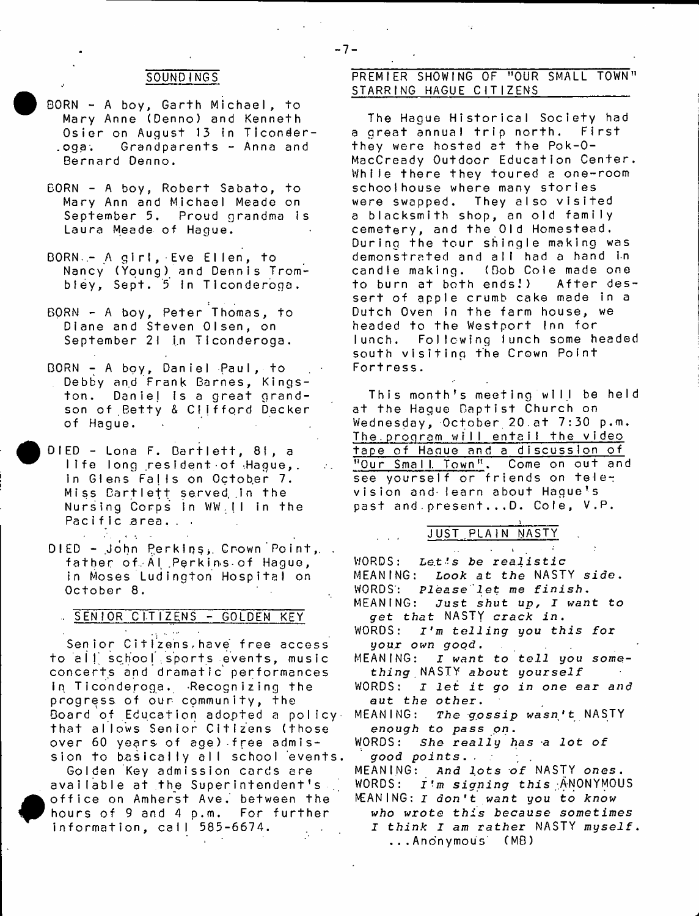# SOUNDINGS

- BORN A boy, Garth Michael, to Mary Anne (Denno) and Kenneth Osier on August 13 in Ticonder-.oga. Grandparents - Anna and Bernard Denno.
- BORN A boy, Robert Sabato, to Mary Ann and Michael Meade on September 5. Proud grandma is Laura Meade of Hague.
- BORN .- A girl, Eve Ellen, to Nancy (Young) and Dennis Trombley, Sept. 5 in Ticonderona.
- BORN A boy, Peter Thomas, to Diane and Steven Olsen, on September 21 in Ticonderoga.
- BORN A boy, Daniel Paul, to Debby and Frank Barnes, Kingston. Daniel is a great grandson of Betty & Clifford Decker of Hague.
- DIED Lona F. Bartlett, 81, a life long resident of Hague,. in Glens Falls on October 7. Miss Bartlett served in the Nursing Corps in WW .II in the Pacific area...

 $\mathcal{A}=\mathcal{A}$  .

DIED - John Perkins, Crown Point, . father of Al Perkins of Hague, in Moses Ludington Hospital on October 8.

# **SENIOR CITIZENS - GOLDEN KEY**

فكالربي Senior Citizens have free access to all school sports events, music concerts and dramatic' performances in Ticonderoga. Recognizing the progress of our community, the Board of Education adopted a policy. that allows Senior Citizens (those over  $60$  years of age) free admission to basically all school events.

Golden Key admission cards are available at the Superintendent's office on Amherst Ave. between the hours of 9 and 4 p.m. For further information, call 585-6674.

# PREMIER SHOWING OF "OUR SMALL TOWN" STARRING HAGUE CITIZENS

The Hague Historical Society had a great annual trip north. First they were hosted at the Pok-0- MacCready Outdoor Education Center. While there they toured a one-room schoolhouse where many stories were swapped. They also visited a blacksmith shop, an old family cemetery, and the Old Homestead. During the tour shingle making was demonstrated and all had a hand in<br>candle making. (Bob Cole made one candle making. (Dob Cole made one to burn at both ends!) After dessert of apple crumb cake made in a Dutch Oven in the farm house, we headed to the Westport Inn for lunch. Following lunch some headed south visiting the Crown Point Fortress.

This month's meeting will be held at the Hague Baptist Church on Wednesday, October 20.at  $7:30$  p.m. The.proqram will entail the video tape of Haque and a discussion of "Our Small Town". Come on out and see yourself or friends on television and learn about Haque's past and present...D. Cole, V.P.

\_\_\_\_\_\_\_\_\_\_\_\_\_\_\_\_\_\_\_\_\_\_\_\_\_\_\_\_\_ i JUST PLAIN <u>NASTY</u>

WORDS: *Le.t's be realistic* MEANING: *Look at the* NASTY side. WORDS': *Please let we finish.* MEANING: *Just shut up, I want to* g*ret t h a t* NASTY *crack* in. WORDS:  $I'm$  telling you this for *your own good.* MEANING: I want to tell you some*thing* NASTY **about yourseif** WORDS: *I let it go in one ear and out the other* **.** MEANING: The gossip wasn't NASTY **enough to** *pass on.* WORDS: *She really has a lot of good points.* **.** MEANING: *And lots of* NASTY *ones.* WORDS: **J** fm *signing this* -ANONYMOUS MEANING: *I don't want you to know* who wrote this because sometimes *I think I am rather* NASTY *myself.* ...Anonymous' (MB)